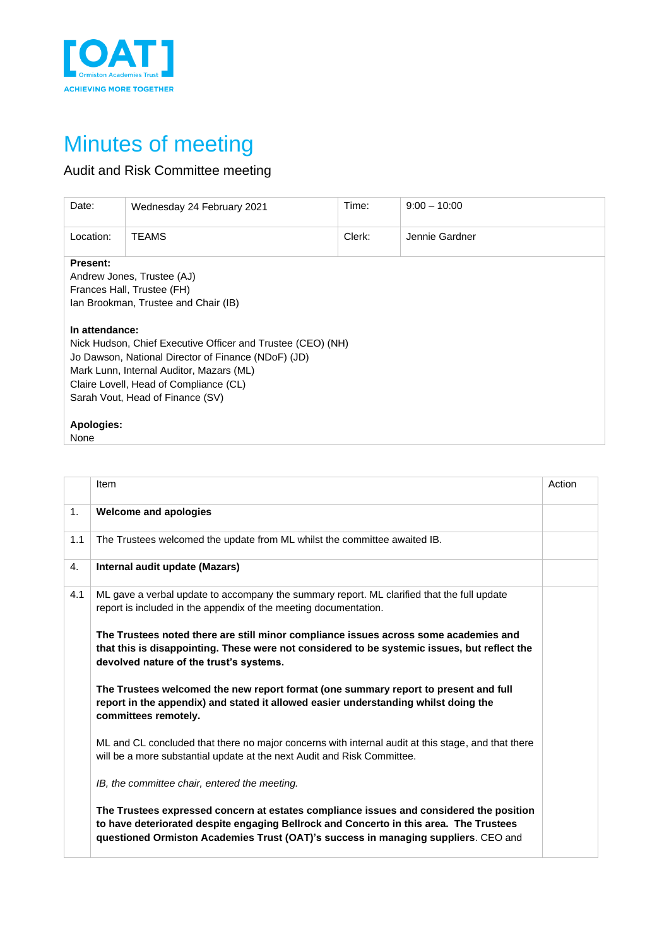

## Minutes of meeting

## Audit and Risk Committee meeting

| Wednesday 24 February 2021                                                                                                                                                                                                                                     | Time:  | $9:00 - 10:00$ |  |  |  |  |
|----------------------------------------------------------------------------------------------------------------------------------------------------------------------------------------------------------------------------------------------------------------|--------|----------------|--|--|--|--|
| <b>TEAMS</b>                                                                                                                                                                                                                                                   | Clerk: | Jennie Gardner |  |  |  |  |
| Andrew Jones, Trustee (AJ)<br>Frances Hall, Trustee (FH)<br>Ian Brookman, Trustee and Chair (IB)                                                                                                                                                               |        |                |  |  |  |  |
| In attendance:<br>Nick Hudson, Chief Executive Officer and Trustee (CEO) (NH)<br>Jo Dawson, National Director of Finance (NDoF) (JD)<br>Mark Lunn, Internal Auditor, Mazars (ML)<br>Claire Lovell, Head of Compliance (CL)<br>Sarah Vout, Head of Finance (SV) |        |                |  |  |  |  |
|                                                                                                                                                                                                                                                                |        |                |  |  |  |  |
|                                                                                                                                                                                                                                                                |        |                |  |  |  |  |

|     | Item                                                                                                                                                                                                                                                                    | Action |
|-----|-------------------------------------------------------------------------------------------------------------------------------------------------------------------------------------------------------------------------------------------------------------------------|--------|
| 1.  | <b>Welcome and apologies</b>                                                                                                                                                                                                                                            |        |
| 1.1 | The Trustees welcomed the update from ML whilst the committee awaited IB.                                                                                                                                                                                               |        |
| 4.  | Internal audit update (Mazars)                                                                                                                                                                                                                                          |        |
| 4.1 | ML gave a verbal update to accompany the summary report. ML clarified that the full update<br>report is included in the appendix of the meeting documentation.                                                                                                          |        |
|     | The Trustees noted there are still minor compliance issues across some academies and<br>that this is disappointing. These were not considered to be systemic issues, but reflect the<br>devolved nature of the trust's systems.                                         |        |
|     | The Trustees welcomed the new report format (one summary report to present and full<br>report in the appendix) and stated it allowed easier understanding whilst doing the<br>committees remotely.                                                                      |        |
|     | ML and CL concluded that there no major concerns with internal audit at this stage, and that there<br>will be a more substantial update at the next Audit and Risk Committee.                                                                                           |        |
|     | IB, the committee chair, entered the meeting.                                                                                                                                                                                                                           |        |
|     | The Trustees expressed concern at estates compliance issues and considered the position<br>to have deteriorated despite engaging Bellrock and Concerto in this area. The Trustees<br>questioned Ormiston Academies Trust (OAT)'s success in managing suppliers. CEO and |        |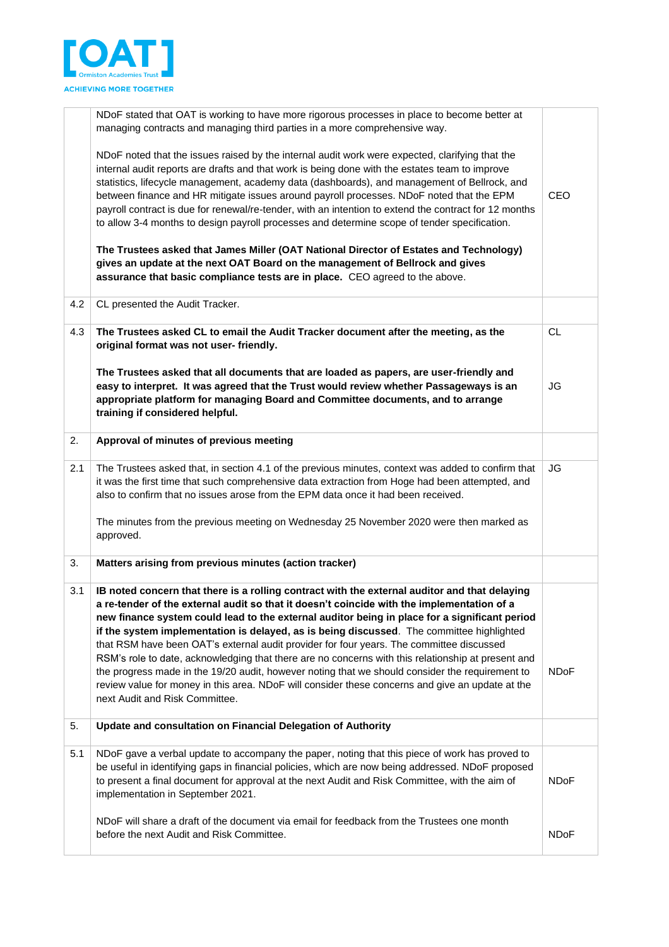

|     | NDoF stated that OAT is working to have more rigorous processes in place to become better at<br>managing contracts and managing third parties in a more comprehensive way.                                                                                                                                                                                                                                                                                                                                                                                                                                                                                                                                                                                                                                                           |             |
|-----|--------------------------------------------------------------------------------------------------------------------------------------------------------------------------------------------------------------------------------------------------------------------------------------------------------------------------------------------------------------------------------------------------------------------------------------------------------------------------------------------------------------------------------------------------------------------------------------------------------------------------------------------------------------------------------------------------------------------------------------------------------------------------------------------------------------------------------------|-------------|
|     | NDoF noted that the issues raised by the internal audit work were expected, clarifying that the<br>internal audit reports are drafts and that work is being done with the estates team to improve<br>statistics, lifecycle management, academy data (dashboards), and management of Bellrock, and<br>between finance and HR mitigate issues around payroll processes. NDoF noted that the EPM<br>payroll contract is due for renewal/re-tender, with an intention to extend the contract for 12 months<br>to allow 3-4 months to design payroll processes and determine scope of tender specification.                                                                                                                                                                                                                               | <b>CEO</b>  |
|     | The Trustees asked that James Miller (OAT National Director of Estates and Technology)<br>gives an update at the next OAT Board on the management of Bellrock and gives<br>assurance that basic compliance tests are in place. CEO agreed to the above.                                                                                                                                                                                                                                                                                                                                                                                                                                                                                                                                                                              |             |
| 4.2 | CL presented the Audit Tracker.                                                                                                                                                                                                                                                                                                                                                                                                                                                                                                                                                                                                                                                                                                                                                                                                      |             |
| 4.3 | The Trustees asked CL to email the Audit Tracker document after the meeting, as the<br>original format was not user-friendly.                                                                                                                                                                                                                                                                                                                                                                                                                                                                                                                                                                                                                                                                                                        | <b>CL</b>   |
|     | The Trustees asked that all documents that are loaded as papers, are user-friendly and<br>easy to interpret. It was agreed that the Trust would review whether Passageways is an<br>appropriate platform for managing Board and Committee documents, and to arrange<br>training if considered helpful.                                                                                                                                                                                                                                                                                                                                                                                                                                                                                                                               | JG          |
| 2.  | Approval of minutes of previous meeting                                                                                                                                                                                                                                                                                                                                                                                                                                                                                                                                                                                                                                                                                                                                                                                              |             |
| 2.1 | The Trustees asked that, in section 4.1 of the previous minutes, context was added to confirm that<br>it was the first time that such comprehensive data extraction from Hoge had been attempted, and<br>also to confirm that no issues arose from the EPM data once it had been received.                                                                                                                                                                                                                                                                                                                                                                                                                                                                                                                                           | JG          |
|     | The minutes from the previous meeting on Wednesday 25 November 2020 were then marked as<br>approved.                                                                                                                                                                                                                                                                                                                                                                                                                                                                                                                                                                                                                                                                                                                                 |             |
| 3.  | Matters arising from previous minutes (action tracker)                                                                                                                                                                                                                                                                                                                                                                                                                                                                                                                                                                                                                                                                                                                                                                               |             |
| 3.1 | IB noted concern that there is a rolling contract with the external auditor and that delaying<br>a re-tender of the external audit so that it doesn't coincide with the implementation of a<br>new finance system could lead to the external auditor being in place for a significant period<br>if the system implementation is delayed, as is being discussed. The committee highlighted<br>that RSM have been OAT's external audit provider for four years. The committee discussed<br>RSM's role to date, acknowledging that there are no concerns with this relationship at present and<br>the progress made in the 19/20 audit, however noting that we should consider the requirement to<br>review value for money in this area. NDoF will consider these concerns and give an update at the<br>next Audit and Risk Committee. | <b>NDoF</b> |
| 5.  | Update and consultation on Financial Delegation of Authority                                                                                                                                                                                                                                                                                                                                                                                                                                                                                                                                                                                                                                                                                                                                                                         |             |
| 5.1 | NDoF gave a verbal update to accompany the paper, noting that this piece of work has proved to<br>be useful in identifying gaps in financial policies, which are now being addressed. NDoF proposed<br>to present a final document for approval at the next Audit and Risk Committee, with the aim of<br>implementation in September 2021.                                                                                                                                                                                                                                                                                                                                                                                                                                                                                           | <b>NDoF</b> |
|     | NDoF will share a draft of the document via email for feedback from the Trustees one month<br>before the next Audit and Risk Committee.                                                                                                                                                                                                                                                                                                                                                                                                                                                                                                                                                                                                                                                                                              | <b>NDoF</b> |
|     |                                                                                                                                                                                                                                                                                                                                                                                                                                                                                                                                                                                                                                                                                                                                                                                                                                      |             |